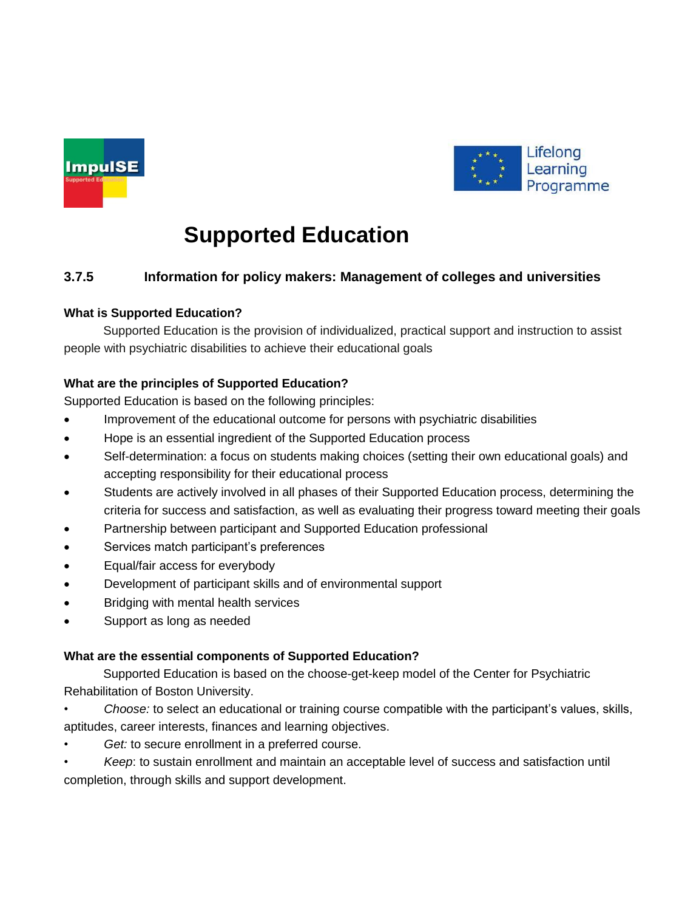



# **Supported Education**

## **3.7.5 Information for policy makers: Management of colleges and universities**

## **What is Supported Education?**

Supported Education is the provision of individualized, practical support and instruction to assist people with psychiatric disabilities to achieve their educational goals

## **What are the principles of Supported Education?**

Supported Education is based on the following principles:

- Improvement of the educational outcome for persons with psychiatric disabilities
- Hope is an essential ingredient of the Supported Education process
- Self-determination: a focus on students making choices (setting their own educational goals) and accepting responsibility for their educational process
- Students are actively involved in all phases of their Supported Education process, determining the criteria for success and satisfaction, as well as evaluating their progress toward meeting their goals
- Partnership between participant and Supported Education professional
- Services match participant's preferences
- Equal/fair access for everybody
- Development of participant skills and of environmental support
- Bridging with mental health services
- Support as long as needed

## **What are the essential components of Supported Education?**

Supported Education is based on the choose-get-keep model of the Center for Psychiatric Rehabilitation of Boston University.

- *Choose:* to select an educational or training course compatible with the participant's values, skills, aptitudes, career interests, finances and learning objectives.
- Get: to secure enrollment in a preferred course.
- *Keep*: to sustain enrollment and maintain an acceptable level of success and satisfaction until completion, through skills and support development.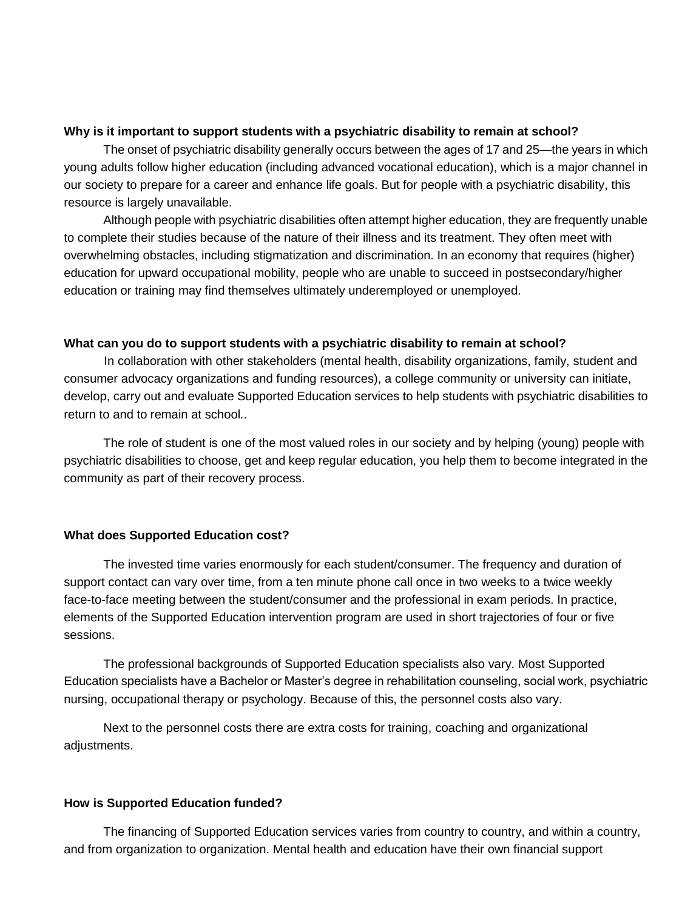#### **Why is it important to support students with a psychiatric disability to remain at school?**

The onset of psychiatric disability generally occurs between the ages of 17 and 25—the years in which young adults follow higher education (including advanced vocational education), which is a major channel in our society to prepare for a career and enhance life goals. But for people with a psychiatric disability, this resource is largely unavailable.

Although people with psychiatric disabilities often attempt higher education, they are frequently unable to complete their studies because of the nature of their illness and its treatment. They often meet with overwhelming obstacles, including stigmatization and discrimination. In an economy that requires (higher) education for upward occupational mobility, people who are unable to succeed in postsecondary/higher education or training may find themselves ultimately underemployed or unemployed.

#### **What can you do to support students with a psychiatric disability to remain at school?**

In collaboration with other stakeholders (mental health, disability organizations, family, student and consumer advocacy organizations and funding resources), a college community or university can initiate, develop, carry out and evaluate Supported Education services to help students with psychiatric disabilities to return to and to remain at school..

The role of student is one of the most valued roles in our society and by helping (young) people with psychiatric disabilities to choose, get and keep regular education, you help them to become integrated in the community as part of their recovery process.

#### **What does Supported Education cost?**

The invested time varies enormously for each student/consumer. The frequency and duration of support contact can vary over time, from a ten minute phone call once in two weeks to a twice weekly face-to-face meeting between the student/consumer and the professional in exam periods. In practice, elements of the Supported Education intervention program are used in short trajectories of four or five sessions.

The professional backgrounds of Supported Education specialists also vary. Most Supported Education specialists have a Bachelor or Master's degree in rehabilitation counseling, social work, psychiatric nursing, occupational therapy or psychology. Because of this, the personnel costs also vary.

Next to the personnel costs there are extra costs for training, coaching and organizational adjustments.

#### **How is Supported Education funded?**

The financing of Supported Education services varies from country to country, and within a country, and from organization to organization. Mental health and education have their own financial support